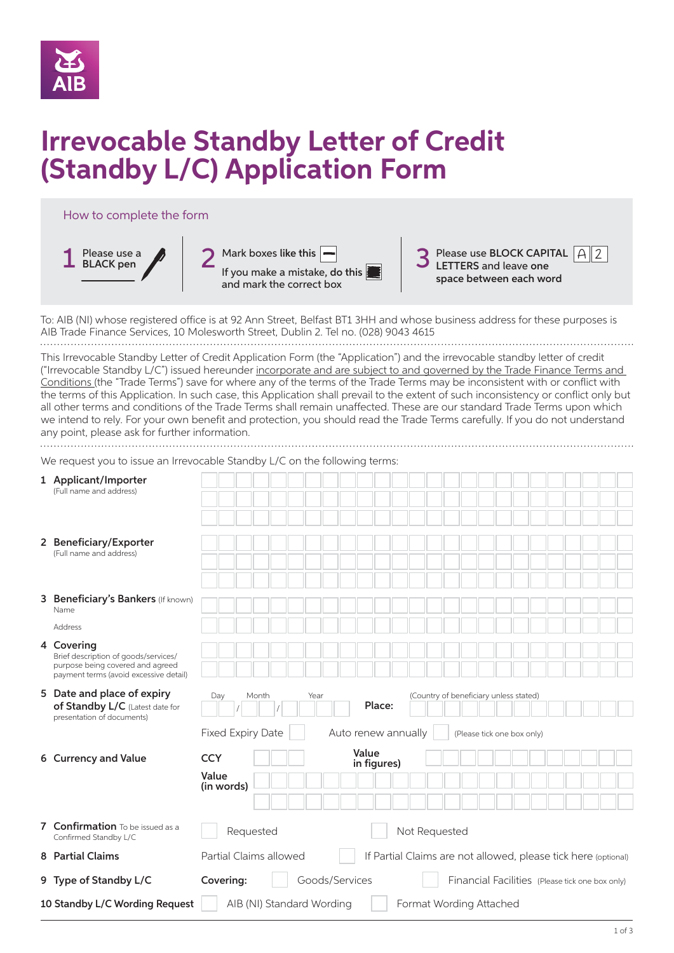

# **Irrevocable Standby Letter of Credit (Standby L/C) Application Form**

### How to complete the form





To: AIB (NI) whose registered office is at 92 Ann Street, Belfast BT1 3HH and whose business address for these purposes is AIB Trade Finance Services, 10 Molesworth Street, Dublin 2. Tel no. (028) 9043 4615

This Irrevocable Standby Letter of Credit Application Form (the "Application") and the irrevocable standby letter of credit ("Irrevocable Standby L/C") issued hereunder incorporate and are subject to and governed by the Trade Finance Terms and Conditions (the "Trade Terms") save for where any of the terms of the Trade Terms may be inconsistent with or conflict with the terms of this Application. In such case, this Application shall prevail to the extent of such inconsistency or conflict only but all other terms and conditions of the Trade Terms shall remain unaffected. These are our standard Trade Terms upon which we intend to rely. For your own benefit and protection, you should read the Trade Terms carefully. If you do not understand any point, please ask for further information. 

We request you to issue an Irrevocable Standby L/C on the following terms:

| 1 Applicant/Importer<br>(Full name and address)                          |                          |                           |  |                     |                                        |               |                                                                |                            |  |  |                                                 |  |  |
|--------------------------------------------------------------------------|--------------------------|---------------------------|--|---------------------|----------------------------------------|---------------|----------------------------------------------------------------|----------------------------|--|--|-------------------------------------------------|--|--|
|                                                                          |                          |                           |  |                     |                                        |               |                                                                |                            |  |  |                                                 |  |  |
|                                                                          |                          |                           |  |                     |                                        |               |                                                                |                            |  |  |                                                 |  |  |
| 2 Beneficiary/Exporter<br>(Full name and address)                        |                          |                           |  |                     |                                        |               |                                                                |                            |  |  |                                                 |  |  |
|                                                                          |                          |                           |  |                     |                                        |               |                                                                |                            |  |  |                                                 |  |  |
|                                                                          |                          |                           |  |                     |                                        |               |                                                                |                            |  |  |                                                 |  |  |
|                                                                          |                          |                           |  |                     |                                        |               |                                                                |                            |  |  |                                                 |  |  |
| 3 Beneficiary's Bankers (If known)<br>Name                               |                          |                           |  |                     |                                        |               |                                                                |                            |  |  |                                                 |  |  |
| <b>Address</b>                                                           |                          |                           |  |                     |                                        |               |                                                                |                            |  |  |                                                 |  |  |
| 4 Covering                                                               |                          |                           |  |                     |                                        |               |                                                                |                            |  |  |                                                 |  |  |
| Brief description of goods/services/<br>purpose being covered and agreed |                          |                           |  |                     |                                        |               |                                                                |                            |  |  |                                                 |  |  |
| payment terms (avoid excessive detail)                                   |                          |                           |  |                     |                                        |               |                                                                |                            |  |  |                                                 |  |  |
| 5 Date and place of expiry                                               | Day<br>Month<br>Year     |                           |  |                     | (Country of beneficiary unless stated) |               |                                                                |                            |  |  |                                                 |  |  |
| of Standby L/C (Latest date for<br>presentation of documents)            |                          |                           |  |                     | Place:                                 |               |                                                                |                            |  |  |                                                 |  |  |
|                                                                          | <b>Fixed Expiry Date</b> |                           |  | Auto renew annually |                                        |               |                                                                | (Please tick one box only) |  |  |                                                 |  |  |
| 6 Currency and Value                                                     | <b>CCY</b>               |                           |  |                     | Value<br>in figures)                   |               |                                                                |                            |  |  |                                                 |  |  |
|                                                                          | Value                    |                           |  |                     |                                        |               |                                                                |                            |  |  |                                                 |  |  |
|                                                                          | (in words)               |                           |  |                     |                                        |               |                                                                |                            |  |  |                                                 |  |  |
|                                                                          |                          |                           |  |                     |                                        |               |                                                                |                            |  |  |                                                 |  |  |
| 7 Confirmation To be issued as a<br>Confirmed Standby L/C                | Requested                |                           |  |                     |                                        | Not Requested |                                                                |                            |  |  |                                                 |  |  |
| 8 Partial Claims                                                         | Partial Claims allowed   |                           |  |                     |                                        |               | If Partial Claims are not allowed, please tick here (optional) |                            |  |  |                                                 |  |  |
| 9 Type of Standby L/C                                                    | Covering:                |                           |  | Goods/Services      |                                        |               |                                                                |                            |  |  | Financial Facilities (Please tick one box only) |  |  |
| 10 Standby L/C Wording Request                                           |                          | AIB (NI) Standard Wording |  |                     |                                        |               | Format Wording Attached                                        |                            |  |  |                                                 |  |  |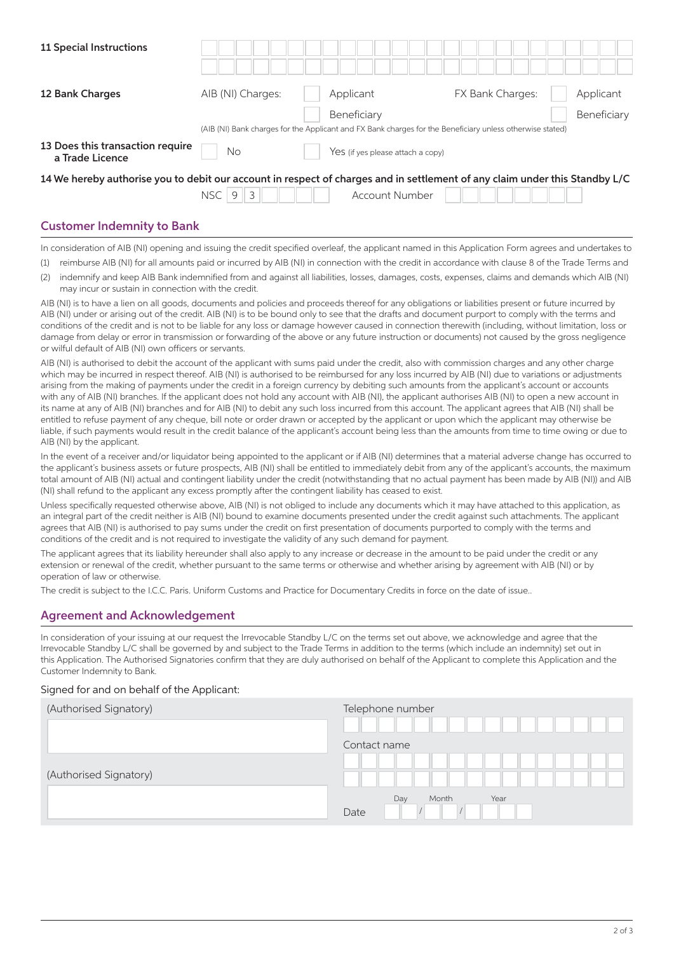| 11 Special Instructions                                                                                                     |                                                                                                           |                                   |                  |             |  |  |  |
|-----------------------------------------------------------------------------------------------------------------------------|-----------------------------------------------------------------------------------------------------------|-----------------------------------|------------------|-------------|--|--|--|
| 12 Bank Charges                                                                                                             | AIB (NI) Charges:                                                                                         | Applicant                         | FX Bank Charges: | Applicant   |  |  |  |
|                                                                                                                             |                                                                                                           | Beneficiary                       |                  | Beneficiary |  |  |  |
|                                                                                                                             | (AIB (NI) Bank charges for the Applicant and FX Bank charges for the Beneficiary unless otherwise stated) |                                   |                  |             |  |  |  |
| 13 Does this transaction require<br>a Trade Licence                                                                         | No                                                                                                        | Yes (if yes please attach a copy) |                  |             |  |  |  |
| 14 We hereby authorise you to debit our account in respect of charges and in settlement of any claim under this Standby L/C |                                                                                                           |                                   |                  |             |  |  |  |
|                                                                                                                             | $NSC$   9                                                                                                 | <b>Account Number</b>             |                  |             |  |  |  |
| .                                                                                                                           |                                                                                                           |                                   |                  |             |  |  |  |

#### Customer Indemnity to Bank

In consideration of AIB (NI) opening and issuing the credit specified overleaf, the applicant named in this Application Form agrees and undertakes to

(1) reimburse AIB (NI) for all amounts paid or incurred by AIB (NI) in connection with the credit in accordance with clause 8 of the Trade Terms and

(2) indemnify and keep AIB Bank indemnified from and against all liabilities, losses, damages, costs, expenses, claims and demands which AIB (NI) may incur or sustain in connection with the credit.

AIB (NI) is to have a lien on all goods, documents and policies and proceeds thereof for any obligations or liabilities present or future incurred by AIB (NI) under or arising out of the credit. AIB (NI) is to be bound only to see that the drafts and document purport to comply with the terms and conditions of the credit and is not to be liable for any loss or damage however caused in connection therewith (including, without limitation, loss or damage from delay or error in transmission or forwarding of the above or any future instruction or documents) not caused by the gross negligence or wilful default of AIB (NI) own officers or servants.

AIB (NI) is authorised to debit the account of the applicant with sums paid under the credit, also with commission charges and any other charge which may be incurred in respect thereof. AIB (NI) is authorised to be reimbursed for any loss incurred by AIB (NI) due to variations or adjustments arising from the making of payments under the credit in a foreign currency by debiting such amounts from the applicant's account or accounts with any of AIB (NI) branches. If the applicant does not hold any account with AIB (NI), the applicant authorises AIB (NI) to open a new account in its name at any of AIB (NI) branches and for AIB (NI) to debit any such loss incurred from this account. The applicant agrees that AIB (NI) shall be entitled to refuse payment of any cheque, bill note or order drawn or accepted by the applicant or upon which the applicant may otherwise be liable, if such payments would result in the credit balance of the applicant's account being less than the amounts from time to time owing or due to AIB (NI) by the applicant.

In the event of a receiver and/or liquidator being appointed to the applicant or if AIB (NI) determines that a material adverse change has occurred to the applicant's business assets or future prospects, AIB (NI) shall be entitled to immediately debit from any of the applicant's accounts, the maximum total amount of AIB (NI) actual and contingent liability under the credit (notwithstanding that no actual payment has been made by AIB (NI)) and AIB (NI) shall refund to the applicant any excess promptly after the contingent liability has ceased to exist.

Unless specifically requested otherwise above, AIB (NI) is not obliged to include any documents which it may have attached to this application, as an integral part of the credit neither is AIB (NI) bound to examine documents presented under the credit against such attachments. The applicant agrees that AIB (NI) is authorised to pay sums under the credit on first presentation of documents purported to comply with the terms and conditions of the credit and is not required to investigate the validity of any such demand for payment.

The applicant agrees that its liability hereunder shall also apply to any increase or decrease in the amount to be paid under the credit or any extension or renewal of the credit, whether pursuant to the same terms or otherwise and whether arising by agreement with AIB (NI) or by operation of law or otherwise.

The credit is subject to the I.C.C. Paris. Uniform Customs and Practice for Documentary Credits in force on the date of issue..

#### Agreement and Acknowledgement

In consideration of your issuing at our request the Irrevocable Standby L/C on the terms set out above, we acknowledge and agree that the Irrevocable Standby L/C shall be governed by and subject to the Trade Terms in addition to the terms (which include an indemnity) set out in this Application. The Authorised Signatories confirm that they are duly authorised on behalf of the Applicant to complete this Application and the Customer Indemnity to Bank.

#### Signed for and on behalf of the Applicant:

| (Authorised Signatory) | Telephone number             |
|------------------------|------------------------------|
| (Authorised Signatory) | Contact name                 |
|                        | Day<br>Month<br>Year<br>Date |